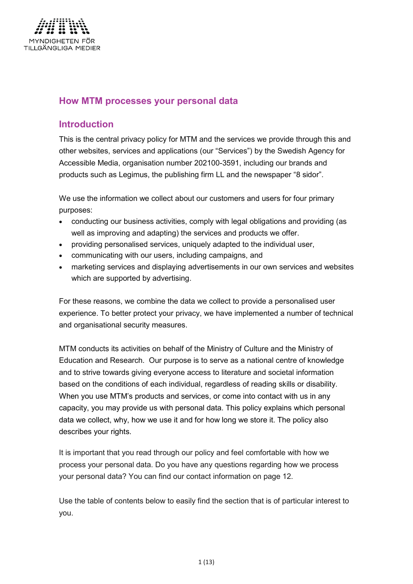

# <span id="page-0-0"></span>**How MTM processes your personal data**

# <span id="page-0-1"></span>**Introduction**

This is the central privacy policy for MTM and the services we provide through this and other websites, services and applications (our "Services") by the Swedish Agency for Accessible Media, organisation number 202100-3591, including our brands and products such as Legimus, the publishing firm LL and the newspaper "8 sidor".

We use the information we collect about our customers and users for four primary purposes:

- conducting our business activities, comply with legal obligations and providing (as well as improving and adapting) the services and products we offer.
- providing personalised services, uniquely adapted to the individual user,
- communicating with our users, including campaigns, and
- marketing services and displaying advertisements in our own services and websites which are supported by advertising.

For these reasons, we combine the data we collect to provide a personalised user experience. To better protect your privacy, we have implemented a number of technical and organisational security measures.

MTM conducts its activities on behalf of the Ministry of Culture and the Ministry of Education and Research. Our purpose is to serve as a national centre of knowledge and to strive towards giving everyone access to literature and societal information based on the conditions of each individual, regardless of reading skills or disability. When you use MTM's products and services, or come into contact with us in any capacity, you may provide us with personal data. This policy explains which personal data we collect, why, how we use it and for how long we store it. The policy also describes your rights.

It is important that you read through our policy and feel comfortable with how we process your personal data. Do you have any questions regarding how we process your personal data? You can find our contact information on page 12.

Use the table of contents below to easily find the section that is of particular interest to you.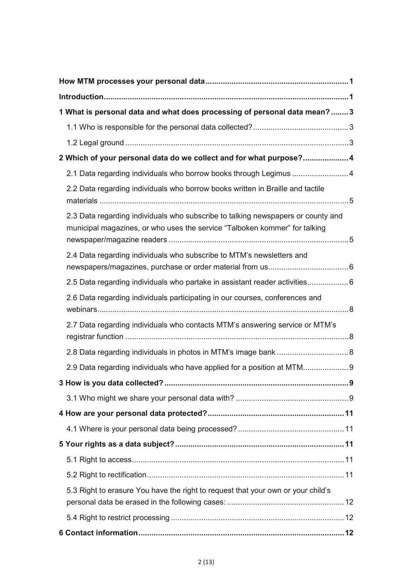| 1 What is personal data and what does processing of personal data mean? 3                                                                                      |  |  |
|----------------------------------------------------------------------------------------------------------------------------------------------------------------|--|--|
|                                                                                                                                                                |  |  |
|                                                                                                                                                                |  |  |
| 2 Which of your personal data do we collect and for what purpose? 4                                                                                            |  |  |
| 2.1 Data regarding individuals who borrow books through Legimus 4                                                                                              |  |  |
| 2.2 Data regarding individuals who borrow books written in Braille and tactile                                                                                 |  |  |
| 2.3 Data regarding individuals who subscribe to talking newspapers or county and<br>municipal magazines, or who uses the service "Talboken kommer" for talking |  |  |
| 2.4 Data regarding individuals who subscribe to MTM's newsletters and                                                                                          |  |  |
| 2.5 Data regarding individuals who partake in assistant reader activities6                                                                                     |  |  |
| 2.6 Data regarding individuals participating in our courses, conferences and                                                                                   |  |  |
| 2.7 Data regarding individuals who contacts MTM's answering service or MTM's                                                                                   |  |  |
|                                                                                                                                                                |  |  |
| 2.9 Data regarding individuals who have applied for a position at MTM                                                                                          |  |  |
|                                                                                                                                                                |  |  |
|                                                                                                                                                                |  |  |
|                                                                                                                                                                |  |  |
|                                                                                                                                                                |  |  |
|                                                                                                                                                                |  |  |
|                                                                                                                                                                |  |  |
|                                                                                                                                                                |  |  |
| 5.3 Right to erasure You have the right to request that your own or your child's                                                                               |  |  |
|                                                                                                                                                                |  |  |
|                                                                                                                                                                |  |  |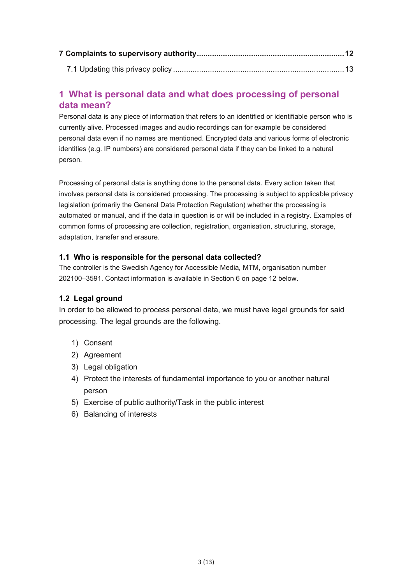# <span id="page-2-0"></span>**1 What is personal data and what does processing of personal data mean?**

Personal data is any piece of information that refers to an identified or identifiable person who is currently alive. Processed images and audio recordings can for example be considered personal data even if no names are mentioned. Encrypted data and various forms of electronic identities (e.g. IP numbers) are considered personal data if they can be linked to a natural person.

Processing of personal data is anything done to the personal data. Every action taken that involves personal data is considered processing. The processing is subject to applicable privacy legislation (primarily the General Data Protection Regulation) whether the processing is automated or manual, and if the data in question is or will be included in a registry. Examples of common forms of processing are collection, registration, organisation, structuring, storage, adaptation, transfer and erasure.

# <span id="page-2-1"></span>**1.1 Who is responsible for the personal data collected?**

The controller is the Swedish Agency for Accessible Media, MTM, organisation number 202100–3591. Contact information is available in Section 6 on page 12 below.

# <span id="page-2-2"></span>**1.2 Legal ground**

In order to be allowed to process personal data, we must have legal grounds for said processing. The legal grounds are the following.

- 1) Consent
- 2) Agreement
- 3) Legal obligation
- 4) Protect the interests of fundamental importance to you or another natural person
- 5) Exercise of public authority/Task in the public interest
- 6) Balancing of interests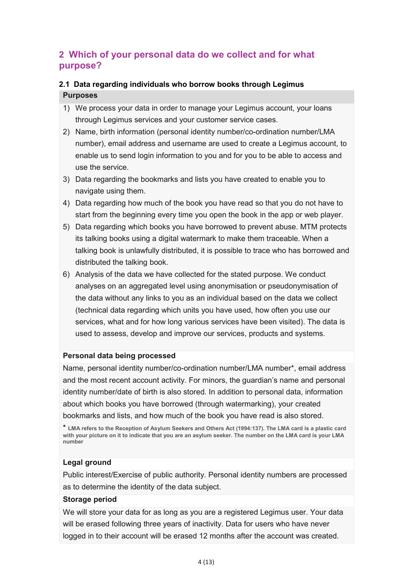# <span id="page-3-0"></span>**2 Which of your personal data do we collect and for what purpose?**

# <span id="page-3-1"></span>**2.1 Data regarding individuals who borrow books through Legimus**

# **Purposes**

- 1) We process your data in order to manage your Legimus account, your loans through Legimus services and your customer service cases.
- 2) Name, birth information (personal identity number/co-ordination number/LMA number), email address and username are used to create a Legimus account, to enable us to send login information to you and for you to be able to access and use the service.
- 3) Data regarding the bookmarks and lists you have created to enable you to navigate using them.
- 4) Data regarding how much of the book you have read so that you do not have to start from the beginning every time you open the book in the app or web player.
- 5) Data regarding which books you have borrowed to prevent abuse. MTM protects its talking books using a digital watermark to make them traceable. When a talking book is unlawfully distributed, it is possible to trace who has borrowed and distributed the talking book.
- 6) Analysis of the data we have collected for the stated purpose. We conduct analyses on an aggregated level using anonymisation or pseudonymisation of the data without any links to you as an individual based on the data we collect (technical data regarding which units you have used, how often you use our services, what and for how long various services have been visited). The data is used to assess, develop and improve our services, products and systems.

# **Personal data being processed**

Name, personal identity number/co-ordination number/LMA number\*, email address and the most recent account activity. For minors, the guardian's name and personal identity number/date of birth is also stored. In addition to personal data, information about which books you have borrowed (through watermarking), your created bookmarks and lists, and how much of the book you have read is also stored.

\* **LMA refers to the Reception of Asylum Seekers and Others Act (1994:137). The LMA card is a plastic card with your picture on it to indicate that you are an asylum seeker. The number on the LMA card is your LMA number**

# **Legal ground**

Public interest/Exercise of public authority. Personal identity numbers are processed as to determine the identity of the data subject.

# **Storage period**

We will store your data for as long as you are a registered Legimus user. Your data will be erased following three years of inactivity. Data for users who have never logged in to their account will be erased 12 months after the account was created.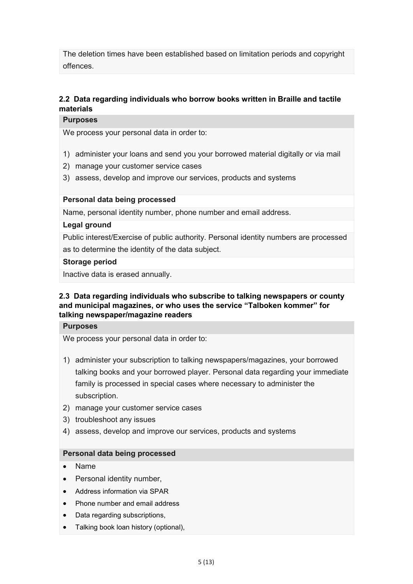The deletion times have been established based on limitation periods and copyright offences.

# <span id="page-4-0"></span>**2.2 Data regarding individuals who borrow books written in Braille and tactile materials**

#### **Purposes**

We process your personal data in order to:

- 1) administer your loans and send you your borrowed material digitally or via mail
- 2) manage your customer service cases
- 3) assess, develop and improve our services, products and systems

#### **Personal data being processed**

Name, personal identity number, phone number and email address.

#### **Legal ground**

Public interest/Exercise of public authority. Personal identity numbers are processed as to determine the identity of the data subject.

#### **Storage period**

Inactive data is erased annually.

#### <span id="page-4-1"></span>**2.3 Data regarding individuals who subscribe to talking newspapers or county and municipal magazines, or who uses the service "Talboken kommer" for talking newspaper/magazine readers**

#### **Purposes**

We process your personal data in order to:

- 1) administer your subscription to talking newspapers/magazines, your borrowed talking books and your borrowed player. Personal data regarding your immediate family is processed in special cases where necessary to administer the subscription.
- 2) manage your customer service cases
- 3) troubleshoot any issues
- 4) assess, develop and improve our services, products and systems

#### **Personal data being processed**

- Name
- Personal identity number,
- Address information via SPAR
- Phone number and email address
- Data regarding subscriptions,
- Talking book loan history (optional),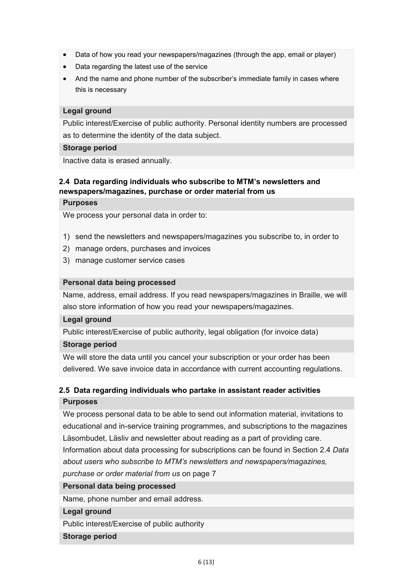- Data of how you read your newspapers/magazines (through the app, email or player)
- Data regarding the latest use of the service
- And the name and phone number of the subscriber's immediate family in cases where this is necessary

#### **Legal ground**

Public interest/Exercise of public authority. Personal identity numbers are processed as to determine the identity of the data subject.

#### **Storage period**

Inactive data is erased annually.

#### <span id="page-5-0"></span>**2.4 Data regarding individuals who subscribe to MTM's newsletters and newspapers/magazines, purchase or order material from us**

#### **Purposes**

We process your personal data in order to:

- 1) send the newsletters and newspapers/magazines you subscribe to, in order to
- 2) manage orders, purchases and invoices
- 3) manage customer service cases

#### **Personal data being processed**

Name, address, email address. If you read newspapers/magazines in Braille, we will also store information of how you read your newspapers/magazines.

#### **Legal ground**

Public interest/Exercise of public authority, legal obligation (for invoice data)

#### **Storage period**

We will store the data until you cancel your subscription or your order has been delivered. We save invoice data in accordance with current accounting regulations.

# <span id="page-5-1"></span>**2.5 Data regarding individuals who partake in assistant reader activities Purposes**

We process personal data to be able to send out information material, invitations to educational and in-service training programmes, and subscriptions to the magazines Läsombudet, Läsliv and newsletter about reading as a part of providing care. Information about data processing for subscriptions can be found in Section 2.4 *Data about users who subscribe to MTM's newsletters and newspapers/magazines, purchase or order material from us* on page 7

#### **Personal data being processed**

Name, phone number and email address.

#### **Legal ground**

Public interest/Exercise of public authority

#### **Storage period**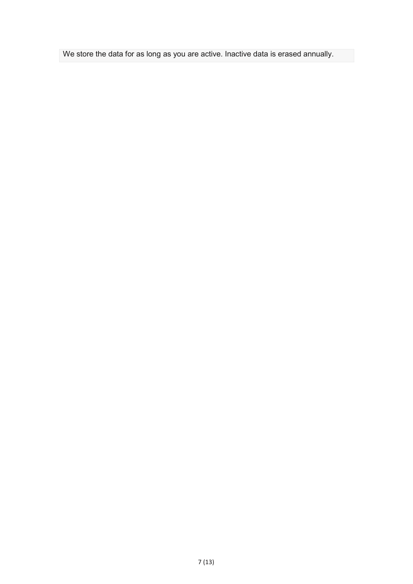We store the data for as long as you are active. Inactive data is erased annually.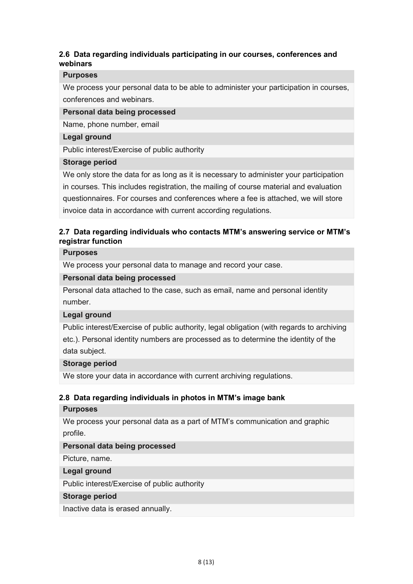# <span id="page-7-0"></span>**2.6 Data regarding individuals participating in our courses, conferences and webinars**

#### **Purposes**

We process your personal data to be able to administer your participation in courses, conferences and webinars.

#### **Personal data being processed**

Name, phone number, email

#### **Legal ground**

Public interest/Exercise of public authority

#### **Storage period**

We only store the data for as long as it is necessary to administer your participation in courses. This includes registration, the mailing of course material and evaluation questionnaires. For courses and conferences where a fee is attached, we will store invoice data in accordance with current according regulations.

# <span id="page-7-1"></span>**2.7 Data regarding individuals who contacts MTM's answering service or MTM's registrar function**

#### **Purposes**

We process your personal data to manage and record your case.

#### **Personal data being processed**

Personal data attached to the case, such as email, name and personal identity number.

#### **Legal ground**

Public interest/Exercise of public authority, legal obligation (with regards to archiving etc.). Personal identity numbers are processed as to determine the identity of the data subject.

#### **Storage period**

We store your data in accordance with current archiving regulations.

# <span id="page-7-2"></span>**2.8 Data regarding individuals in photos in MTM's image bank**

#### **Purposes**

We process your personal data as a part of MTM's communication and graphic profile.

# **Personal data being processed**

Picture, name.

#### **Legal ground**

Public interest/Exercise of public authority

#### **Storage period**

Inactive data is erased annually.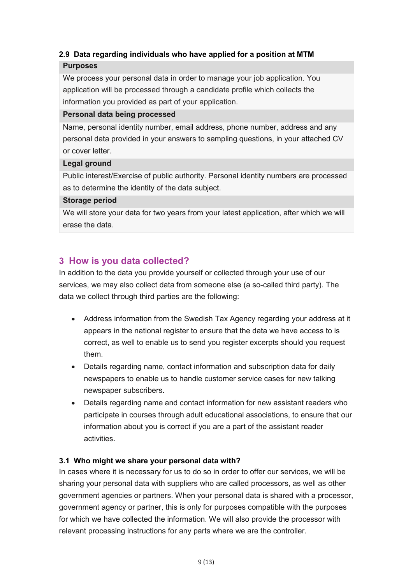# <span id="page-8-0"></span>**2.9 Data regarding individuals who have applied for a position at MTM**

# **Purposes**

We process your personal data in order to manage your job application. You application will be processed through a candidate profile which collects the information you provided as part of your application.

# **Personal data being processed**

Name, personal identity number, email address, phone number, address and any personal data provided in your answers to sampling questions, in your attached CV or cover letter.

# **Legal ground**

Public interest/Exercise of public authority. Personal identity numbers are processed as to determine the identity of the data subject.

# **Storage period**

We will store your data for two years from your latest application, after which we will erase the data.

# <span id="page-8-1"></span>**3 How is you data collected?**

In addition to the data you provide yourself or collected through your use of our services, we may also collect data from someone else (a so-called third party). The data we collect through third parties are the following:

- Address information from the Swedish Tax Agency regarding your address at it appears in the national register to ensure that the data we have access to is correct, as well to enable us to send you register excerpts should you request them.
- Details regarding name, contact information and subscription data for daily newspapers to enable us to handle customer service cases for new talking newspaper subscribers.
- Details regarding name and contact information for new assistant readers who participate in courses through adult educational associations, to ensure that our information about you is correct if you are a part of the assistant reader activities.

# <span id="page-8-2"></span>**3.1 Who might we share your personal data with?**

In cases where it is necessary for us to do so in order to offer our services, we will be sharing your personal data with suppliers who are called processors, as well as other government agencies or partners. When your personal data is shared with a processor, government agency or partner, this is only for purposes compatible with the purposes for which we have collected the information. We will also provide the processor with relevant processing instructions for any parts where we are the controller.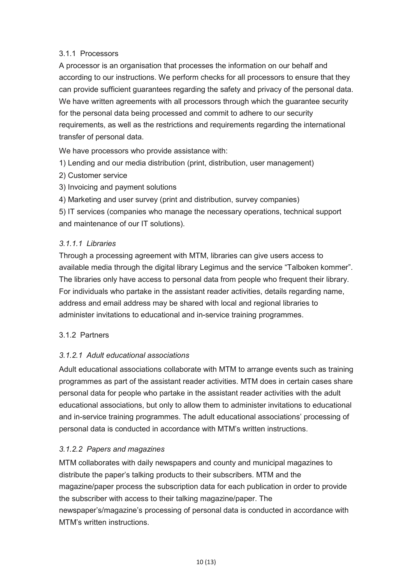# 3.1.1 Processors

A processor is an organisation that processes the information on our behalf and according to our instructions. We perform checks for all processors to ensure that they can provide sufficient guarantees regarding the safety and privacy of the personal data. We have written agreements with all processors through which the guarantee security for the personal data being processed and commit to adhere to our security requirements, as well as the restrictions and requirements regarding the international transfer of personal data.

We have processors who provide assistance with:

1) Lending and our media distribution (print, distribution, user management)

- 2) Customer service
- 3) Invoicing and payment solutions
- 4) Marketing and user survey (print and distribution, survey companies)

5) IT services (companies who manage the necessary operations, technical support and maintenance of our IT solutions).

#### *3.1.1.1 Libraries*

Through a processing agreement with MTM, libraries can give users access to available media through the digital library Legimus and the service "Talboken kommer". The libraries only have access to personal data from people who frequent their library. For individuals who partake in the assistant reader activities, details regarding name, address and email address may be shared with local and regional libraries to administer invitations to educational and in-service training programmes.

#### 3.1.2 Partners

# *3.1.2.1 Adult educational associations*

Adult educational associations collaborate with MTM to arrange events such as training programmes as part of the assistant reader activities. MTM does in certain cases share personal data for people who partake in the assistant reader activities with the adult educational associations, but only to allow them to administer invitations to educational and in-service training programmes. The adult educational associations' processing of personal data is conducted in accordance with MTM's written instructions.

# *3.1.2.2 Papers and magazines*

MTM collaborates with daily newspapers and county and municipal magazines to distribute the paper's talking products to their subscribers. MTM and the magazine/paper process the subscription data for each publication in order to provide the subscriber with access to their talking magazine/paper. The newspaper's/magazine's processing of personal data is conducted in accordance with MTM's written instructions.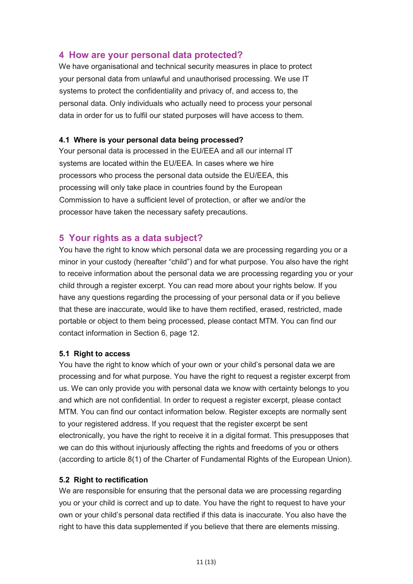# <span id="page-10-0"></span>**4 How are your personal data protected?**

We have organisational and technical security measures in place to protect your personal data from unlawful and unauthorised processing. We use IT systems to protect the confidentiality and privacy of, and access to, the personal data. Only individuals who actually need to process your personal data in order for us to fulfil our stated purposes will have access to them.

#### <span id="page-10-1"></span>**4.1 Where is your personal data being processed?**

Your personal data is processed in the EU/EEA and all our internal IT systems are located within the EU/EEA. In cases where we hire processors who process the personal data outside the EU/EEA, this processing will only take place in countries found by the European Commission to have a sufficient level of protection, or after we and/or the processor have taken the necessary safety precautions.

# <span id="page-10-2"></span>**5 Your rights as a data subject?**

You have the right to know which personal data we are processing regarding you or a minor in your custody (hereafter "child") and for what purpose. You also have the right to receive information about the personal data we are processing regarding you or your child through a register excerpt. You can read more about your rights below. If you have any questions regarding the processing of your personal data or if you believe that these are inaccurate, would like to have them rectified, erased, restricted, made portable or object to them being processed, please contact MTM. You can find our contact information in Section 6, page 12.

#### <span id="page-10-3"></span>**5.1 Right to access**

You have the right to know which of your own or your child's personal data we are processing and for what purpose. You have the right to request a register excerpt from us. We can only provide you with personal data we know with certainty belongs to you and which are not confidential. In order to request a register excerpt, please contact MTM. You can find our contact information below. Register excepts are normally sent to your registered address. If you request that the register excerpt be sent electronically, you have the right to receive it in a digital format. This presupposes that we can do this without injuriously affecting the rights and freedoms of you or others (according to article 8(1) of the Charter of Fundamental Rights of the European Union).

#### <span id="page-10-4"></span>**5.2 Right to rectification**

We are responsible for ensuring that the personal data we are processing regarding you or your child is correct and up to date. You have the right to request to have your own or your child's personal data rectified if this data is inaccurate. You also have the right to have this data supplemented if you believe that there are elements missing.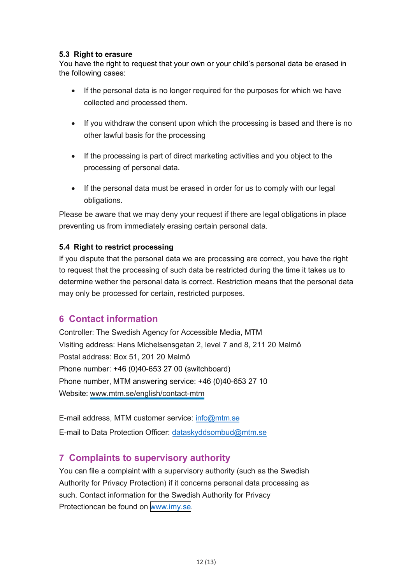# <span id="page-11-0"></span>**5.3 Right to erasure**

You have the right to request that your own or your child's personal data be erased in the following cases:

- If the personal data is no longer required for the purposes for which we have collected and processed them.
- If you withdraw the consent upon which the processing is based and there is no other lawful basis for the processing
- If the processing is part of direct marketing activities and you object to the processing of personal data.
- If the personal data must be erased in order for us to comply with our legal obligations.

Please be aware that we may deny your request if there are legal obligations in place preventing us from immediately erasing certain personal data.

# <span id="page-11-1"></span>**5.4 Right to restrict processing**

If you dispute that the personal data we are processing are correct, you have the right to request that the processing of such data be restricted during the time it takes us to determine wether the personal data is correct. Restriction means that the personal data may only be processed for certain, restricted purposes.

# <span id="page-11-2"></span>**6 Contact information**

Controller: The Swedish Agency for Accessible Media, MTM Visiting address: Hans Michelsensgatan 2, level 7 and 8, 211 20 Malmö Postal address: Box 51, 201 20 Malmö Phone number: +46 (0)40-653 27 00 (switchboard) Phone number, MTM answering service: +46 (0)40-653 27 10 Website: [www.mtm.se](https://www.mtm.se/)[/english/contact-mtm](https://www.mtm.se/english/contact-mtm/)

E-mail address, MTM customer service: [info@mtm.se](mailto:info@mtm.se) E-mail to Data Protection Officer: dataskyddsombud@mtm.se

# **7 C[omplaints to superviso](mailto:dataskyddsombud@mtm.se)ry authority**

<span id="page-11-3"></span>You can file a complaint with a supervisory authority (such as the Swedish Authority for Privacy Protection) if it concerns personal data processing as such. Contact information for the Swedish Authority for Privacy Protectioncan be found on [www.](https://www.imy.se/other-lang/)imy.se.